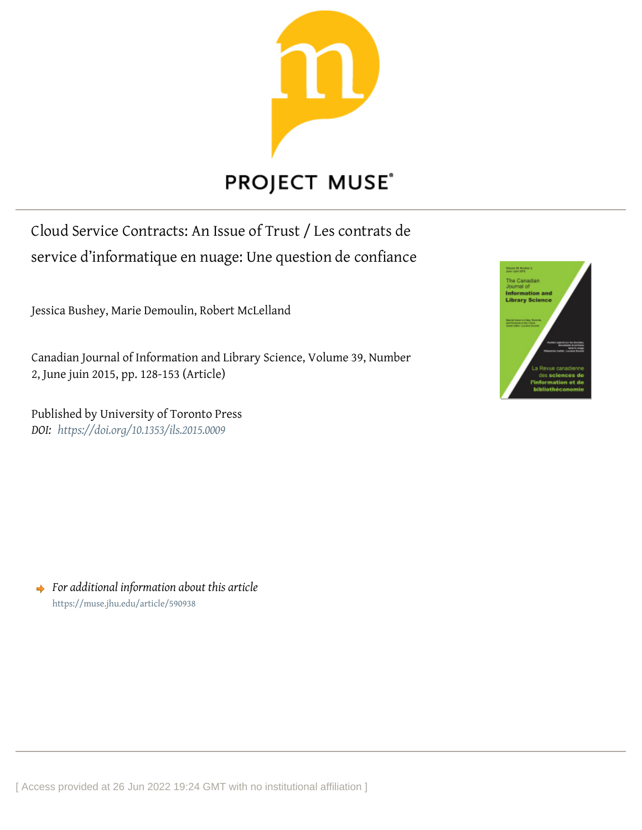

# **PROJECT MUSE®**

Cloud Service Contracts: An Issue of Trust / Les contrats de service d'informatique en nuage: Une question de confiance

Jessica Bushey, Marie Demoulin, Robert McLelland

Canadian Journal of Information and Library Science, Volume 39, Number 2, June juin 2015, pp. 128-153 (Article)

Published by University of Toronto Press *DOI: <https://doi.org/10.1353/ils.2015.0009>*



*For additional information about this article* <https://muse.jhu.edu/article/590938>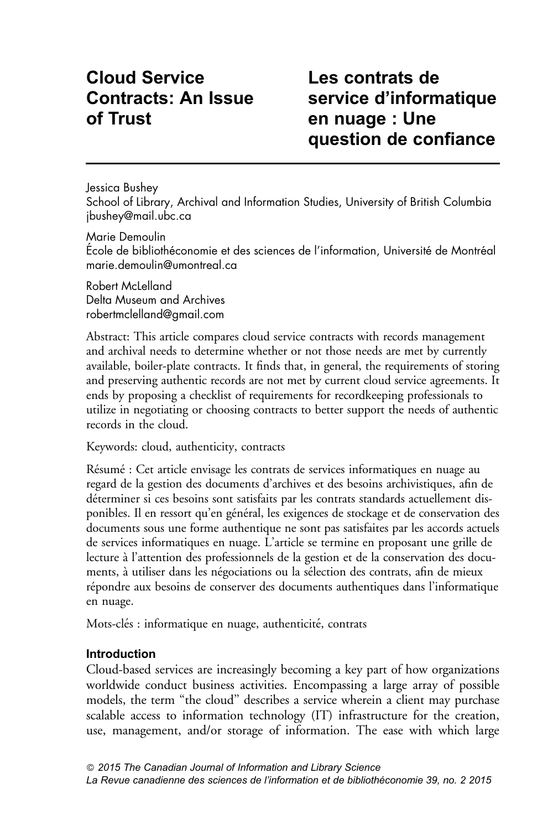# Cloud Service Contracts: An Issue of Trust

# Les contrats de service d'informatique en nuage : Une question de confiance

Jessica Bushey School of Library, Archival and Information Studies, University of British Columbia <jbushey@mail.ubc.ca>

Marie Demoulin École de bibliothéconomie et des sciences de l'information, Université de Montréal <marie.demoulin@umontreal.ca>

Robert McLelland Delta Museum and Archives <robertmclelland@gmail.com>

Abstract: This article compares cloud service contracts with records management and archival needs to determine whether or not those needs are met by currently available, boiler-plate contracts. It finds that, in general, the requirements of storing and preserving authentic records are not met by current cloud service agreements. It ends by proposing a checklist of requirements for recordkeeping professionals to utilize in negotiating or choosing contracts to better support the needs of authentic records in the cloud.

Keywords: cloud, authenticity, contracts

Résumé : Cet article envisage les contrats de services informatiques en nuage au regard de la gestion des documents d'archives et des besoins archivistiques, afin de déterminer si ces besoins sont satisfaits par les contrats standards actuellement disponibles. Il en ressort qu'en général, les exigences de stockage et de conservation des documents sous une forme authentique ne sont pas satisfaites par les accords actuels de services informatiques en nuage. L'article se termine en proposant une grille de lecture à l'attention des professionnels de la gestion et de la conservation des documents, à utiliser dans les négociations ou la sélection des contrats, afin de mieux répondre aux besoins de conserver des documents authentiques dans l'informatique en nuage.

Mots-clés : informatique en nuage, authenticité, contrats

# Introduction

Cloud-based services are increasingly becoming a key part of how organizations worldwide conduct business activities. Encompassing a large array of possible models, the term ''the cloud'' describes a service wherein a client may purchase scalable access to information technology (IT) infrastructure for the creation, use, management, and/or storage of information. The ease with which large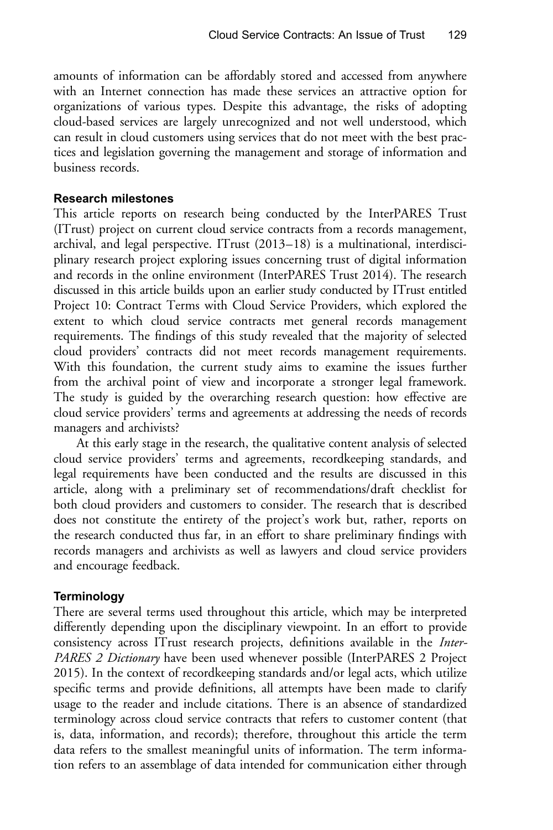amounts of information can be affordably stored and accessed from anywhere with an Internet connection has made these services an attractive option for organizations of various types. Despite this advantage, the risks of adopting cloud-based services are largely unrecognized and not well understood, which can result in cloud customers using services that do not meet with the best practices and legislation governing the management and storage of information and business records.

# Research milestones

This article reports on research being conducted by the InterPARES Trust (ITrust) project on current cloud service contracts from a records management, archival, and legal perspective. ITrust (2013–18) is a multinational, interdisciplinary research project exploring issues concerning trust of digital information and records in the online environment (InterPARES Trust 2014). The research discussed in this article builds upon an earlier study conducted by ITrust entitled Project 10: Contract Terms with Cloud Service Providers, which explored the extent to which cloud service contracts met general records management requirements. The findings of this study revealed that the majority of selected cloud providers' contracts did not meet records management requirements. With this foundation, the current study aims to examine the issues further from the archival point of view and incorporate a stronger legal framework. The study is guided by the overarching research question: how effective are cloud service providers' terms and agreements at addressing the needs of records managers and archivists?

At this early stage in the research, the qualitative content analysis of selected cloud service providers' terms and agreements, recordkeeping standards, and legal requirements have been conducted and the results are discussed in this article, along with a preliminary set of recommendations/draft checklist for both cloud providers and customers to consider. The research that is described does not constitute the entirety of the project's work but, rather, reports on the research conducted thus far, in an effort to share preliminary findings with records managers and archivists as well as lawyers and cloud service providers and encourage feedback.

# **Terminology**

There are several terms used throughout this article, which may be interpreted differently depending upon the disciplinary viewpoint. In an effort to provide consistency across ITrust research projects, definitions available in the Inter-PARES 2 Dictionary have been used whenever possible [\(InterPARES 2 Project](#page-26-0) [2015\)](#page-26-0). In the context of recordkeeping standards and/or legal acts, which utilize specific terms and provide definitions, all attempts have been made to clarify usage to the reader and include citations. There is an absence of standardized terminology across cloud service contracts that refers to customer content (that is, data, information, and records); therefore, throughout this article the term data refers to the smallest meaningful units of information. The term information refers to an assemblage of data intended for communication either through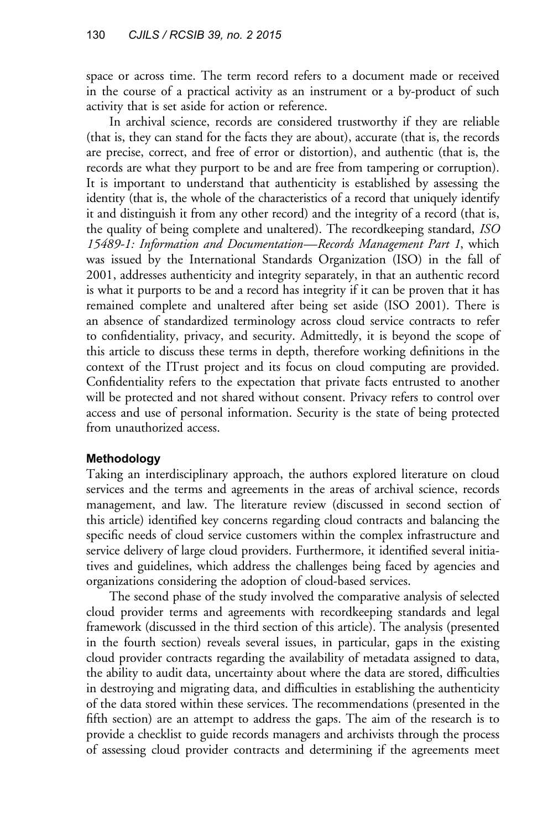space or across time. The term record refers to a document made or received in the course of a practical activity as an instrument or a by-product of such activity that is set aside for action or reference.

In archival science, records are considered trustworthy if they are reliable (that is, they can stand for the facts they are about), accurate (that is, the records are precise, correct, and free of error or distortion), and authentic (that is, the records are what they purport to be and are free from tampering or corruption). It is important to understand that authenticity is established by assessing the identity (that is, the whole of the characteristics of a record that uniquely identify it and distinguish it from any other record) and the integrity of a record (that is, the quality of being complete and unaltered). The recordkeeping standard, ISO 15489-1: Information and Documentation—Records Management Part 1, which was issued by the International Standards Organization (ISO) in the fall of 2001, addresses authenticity and integrity separately, in that an authentic record is what it purports to be and a record has integrity if it can be proven that it has remained complete and unaltered after being set aside (ISO 2001). There is an absence of standardized terminology across cloud service contracts to refer to confidentiality, privacy, and security. Admittedly, it is beyond the scope of this article to discuss these terms in depth, therefore working definitions in the context of the ITrust project and its focus on cloud computing are provided. Confidentiality refers to the expectation that private facts entrusted to another will be protected and not shared without consent. Privacy refers to control over access and use of personal information. Security is the state of being protected from unauthorized access.

# Methodology

Taking an interdisciplinary approach, the authors explored literature on cloud services and the terms and agreements in the areas of archival science, records management, and law. The literature review (discussed in second section of this article) identified key concerns regarding cloud contracts and balancing the specific needs of cloud service customers within the complex infrastructure and service delivery of large cloud providers. Furthermore, it identified several initiatives and guidelines, which address the challenges being faced by agencies and organizations considering the adoption of cloud-based services.

The second phase of the study involved the comparative analysis of selected cloud provider terms and agreements with recordkeeping standards and legal framework (discussed in the third section of this article). The analysis (presented in the fourth section) reveals several issues, in particular, gaps in the existing cloud provider contracts regarding the availability of metadata assigned to data, the ability to audit data, uncertainty about where the data are stored, difficulties in destroying and migrating data, and difficulties in establishing the authenticity of the data stored within these services. The recommendations (presented in the fifth section) are an attempt to address the gaps. The aim of the research is to provide a checklist to guide records managers and archivists through the process of assessing cloud provider contracts and determining if the agreements meet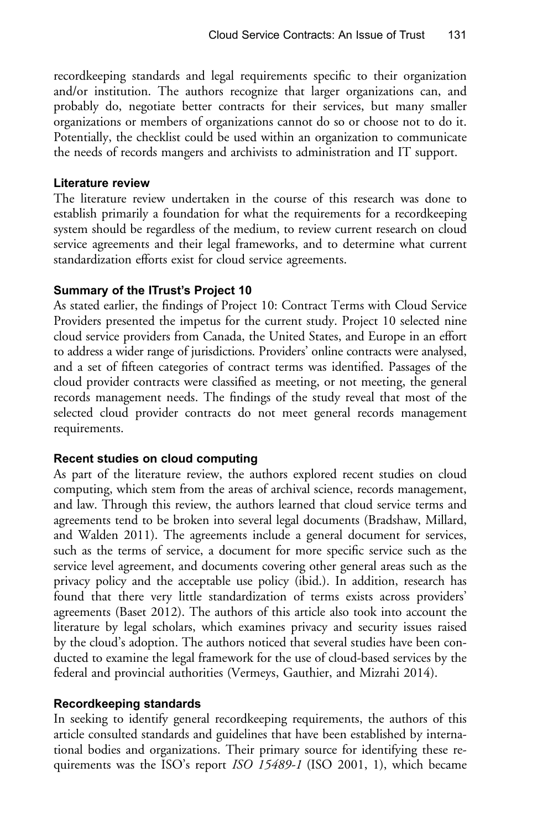recordkeeping standards and legal requirements specific to their organization and/or institution. The authors recognize that larger organizations can, and probably do, negotiate better contracts for their services, but many smaller organizations or members of organizations cannot do so or choose not to do it. Potentially, the checklist could be used within an organization to communicate the needs of records mangers and archivists to administration and IT support.

# Literature review

The literature review undertaken in the course of this research was done to establish primarily a foundation for what the requirements for a recordkeeping system should be regardless of the medium, to review current research on cloud service agreements and their legal frameworks, and to determine what current standardization efforts exist for cloud service agreements.

# Summary of the ITrust's Project 10

As stated earlier, the findings of Project 10: Contract Terms with Cloud Service Providers presented the impetus for the current study. Project 10 selected nine cloud service providers from Canada, the United States, and Europe in an effort to address a wider range of jurisdictions. Providers' online contracts were analysed, and a set of fifteen categories of contract terms was identified. Passages of the cloud provider contracts were classified as meeting, or not meeting, the general records management needs. The findings of the study reveal that most of the selected cloud provider contracts do not meet general records management requirements.

# Recent studies on cloud computing

As part of the literature review, the authors explored recent studies on cloud computing, which stem from the areas of archival science, records management, and law. Through this review, the authors learned that cloud service terms and agreements tend to be broken into several legal documents [\(Bradshaw, Millard,](#page-25-0) [and Walden 2011\)](#page-25-0). The agreements include a general document for services, such as the terms of service, a document for more specific service such as the service level agreement, and documents covering other general areas such as the privacy policy and the acceptable use policy (ibid.). In addition, research has found that there very little standardization of terms exists across providers' agreements [\(Baset 2012\)](#page-25-0). The authors of this article also took into account the literature by legal scholars, which examines privacy and security issues raised by the cloud's adoption. The authors noticed that several studies have been conducted to examine the legal framework for the use of cloud-based services by the federal and provincial authorities ([Vermeys, Gauthier, and Mizrahi 2014](#page-26-0)).

# Recordkeeping standards

In seeking to identify general recordkeeping requirements, the authors of this article consulted standards and guidelines that have been established by international bodies and organizations. Their primary source for identifying these requirements was the ISO's report ISO 15489-1 (ISO 2001, 1), which became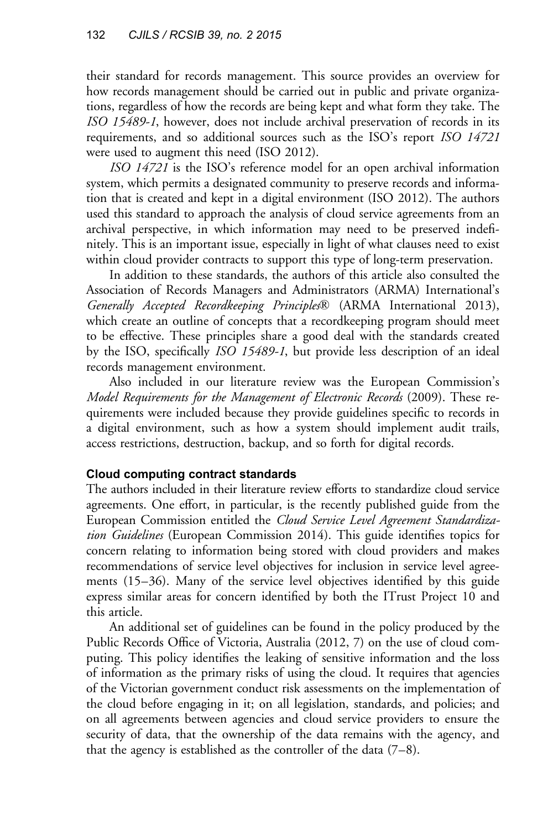their standard for records management. This source provides an overview for how records management should be carried out in public and private organizations, regardless of how the records are being kept and what form they take. The ISO 15489-1, however, does not include archival preservation of records in its requirements, and so additional sources such as the ISO's report ISO 14721 were used to augment this need (ISO 2012).

ISO 14721 is the ISO's reference model for an open archival information system, which permits a designated community to preserve records and information that is created and kept in a digital environment (ISO 2012). The authors used this standard to approach the analysis of cloud service agreements from an archival perspective, in which information may need to be preserved indefinitely. This is an important issue, especially in light of what clauses need to exist within cloud provider contracts to support this type of long-term preservation.

In addition to these standards, the authors of this article also consulted the Association of Records Managers and Administrators (ARMA) International's Generally Accepted Recordkeeping Principles® [\(ARMA International 2013](#page-25-0)), which create an outline of concepts that a recordkeeping program should meet to be effective. These principles share a good deal with the standards created by the ISO, specifically ISO 15489-1, but provide less description of an ideal records management environment.

Also included in our literature review was the European Commission's Model Requirements for the Management of Electronic Records (2009). These requirements were included because they provide guidelines specific to records in a digital environment, such as how a system should implement audit trails, access restrictions, destruction, backup, and so forth for digital records.

# Cloud computing contract standards

The authors included in their literature review efforts to standardize cloud service agreements. One effort, in particular, is the recently published guide from the European Commission entitled the Cloud Service Level Agreement Standardization Guidelines (European Commission 2014). This guide identifies topics for concern relating to information being stored with cloud providers and makes recommendations of service level objectives for inclusion in service level agreements (15–36). Many of the service level objectives identified by this guide express similar areas for concern identified by both the ITrust Project 10 and this article.

An additional set of guidelines can be found in the policy produced by the Public Records Office of Victoria, Australia (2012, 7) on the use of cloud computing. This policy identifies the leaking of sensitive information and the loss of information as the primary risks of using the cloud. It requires that agencies of the Victorian government conduct risk assessments on the implementation of the cloud before engaging in it; on all legislation, standards, and policies; and on all agreements between agencies and cloud service providers to ensure the security of data, that the ownership of the data remains with the agency, and that the agency is established as the controller of the data  $(7-8)$ .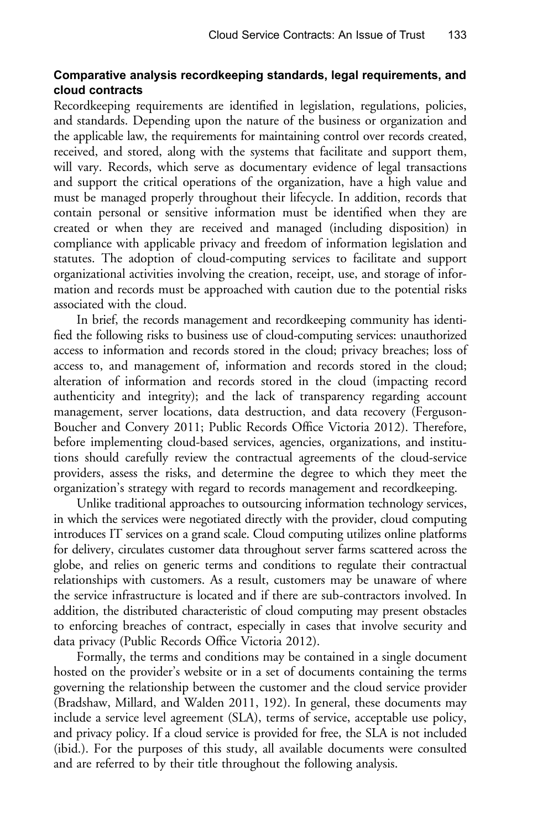# Comparative analysis recordkeeping standards, legal requirements, and cloud contracts

Recordkeeping requirements are identified in legislation, regulations, policies, and standards. Depending upon the nature of the business or organization and the applicable law, the requirements for maintaining control over records created, received, and stored, along with the systems that facilitate and support them, will vary. Records, which serve as documentary evidence of legal transactions and support the critical operations of the organization, have a high value and must be managed properly throughout their lifecycle. In addition, records that contain personal or sensitive information must be identified when they are created or when they are received and managed (including disposition) in compliance with applicable privacy and freedom of information legislation and statutes. The adoption of cloud-computing services to facilitate and support organizational activities involving the creation, receipt, use, and storage of information and records must be approached with caution due to the potential risks associated with the cloud.

In brief, the records management and recordkeeping community has identified the following risks to business use of cloud-computing services: unauthorized access to information and records stored in the cloud; privacy breaches; loss of access to, and management of, information and records stored in the cloud; alteration of information and records stored in the cloud (impacting record authenticity and integrity); and the lack of transparency regarding account management, server locations, data destruction, and data recovery (Ferguson-Boucher and Convery 2011; Public Records Office Victoria 2012). Therefore, before implementing cloud-based services, agencies, organizations, and institutions should carefully review the contractual agreements of the cloud-service providers, assess the risks, and determine the degree to which they meet the organization's strategy with regard to records management and recordkeeping.

Unlike traditional approaches to outsourcing information technology services, in which the services were negotiated directly with the provider, cloud computing introduces IT services on a grand scale. Cloud computing utilizes online platforms for delivery, circulates customer data throughout server farms scattered across the globe, and relies on generic terms and conditions to regulate their contractual relationships with customers. As a result, customers may be unaware of where the service infrastructure is located and if there are sub-contractors involved. In addition, the distributed characteristic of cloud computing may present obstacles to enforcing breaches of contract, especially in cases that involve security and data privacy ([Public Records Office Victoria 2012](#page-26-0)).

Formally, the terms and conditions may be contained in a single document hosted on the provider's website or in a set of documents containing the terms governing the relationship between the customer and the cloud service provider [\(Bradshaw, Millard, and Walden 2011,](#page-25-0) 192). In general, these documents may include a service level agreement (SLA), terms of service, acceptable use policy, and privacy policy. If a cloud service is provided for free, the SLA is not included (ibid.). For the purposes of this study, all available documents were consulted and are referred to by their title throughout the following analysis.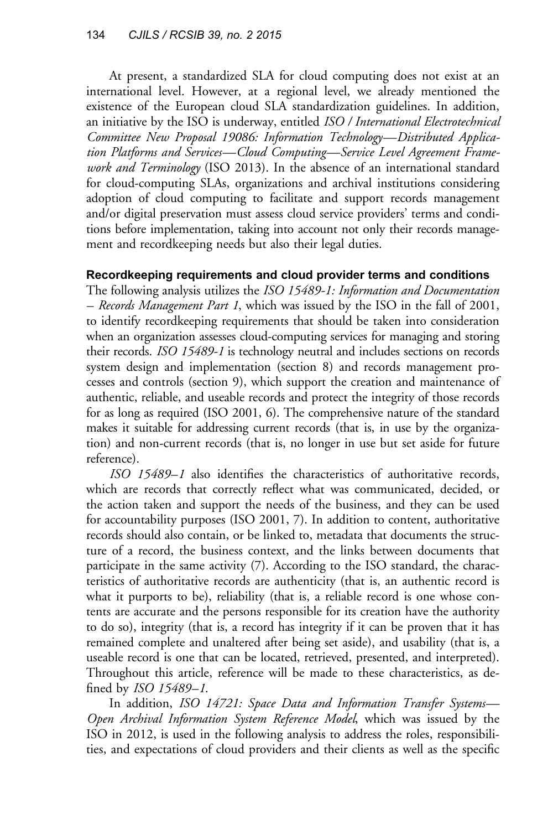At present, a standardized SLA for cloud computing does not exist at an international level. However, at a regional level, we already mentioned the existence of the European cloud SLA standardization guidelines. In addition, an initiative by the ISO is underway, entitled ISO / International Electrotechnical Committee New Proposal 19086: Information Technology—Distributed Application Platforms and Services—Cloud Computing—Service Level Agreement Framework and Terminology (ISO 2013). In the absence of an international standard for cloud-computing SLAs, organizations and archival institutions considering adoption of cloud computing to facilitate and support records management and/or digital preservation must assess cloud service providers' terms and conditions before implementation, taking into account not only their records management and recordkeeping needs but also their legal duties.

#### Recordkeeping requirements and cloud provider terms and conditions

The following analysis utilizes the ISO 15489-1: Information and Documentation – Records Management Part 1, which was issued by the ISO in the fall of 2001, to identify recordkeeping requirements that should be taken into consideration when an organization assesses cloud-computing services for managing and storing their records. ISO 15489-1 is technology neutral and includes sections on records system design and implementation (section 8) and records management processes and controls (section 9), which support the creation and maintenance of authentic, reliable, and useable records and protect the integrity of those records for as long as required (ISO 2001, 6). The comprehensive nature of the standard makes it suitable for addressing current records (that is, in use by the organization) and non-current records (that is, no longer in use but set aside for future reference).

ISO 15489–1 also identifies the characteristics of authoritative records, which are records that correctly reflect what was communicated, decided, or the action taken and support the needs of the business, and they can be used for accountability purposes (ISO 2001, 7). In addition to content, authoritative records should also contain, or be linked to, metadata that documents the structure of a record, the business context, and the links between documents that participate in the same activity (7). According to the ISO standard, the characteristics of authoritative records are authenticity (that is, an authentic record is what it purports to be), reliability (that is, a reliable record is one whose contents are accurate and the persons responsible for its creation have the authority to do so), integrity (that is, a record has integrity if it can be proven that it has remained complete and unaltered after being set aside), and usability (that is, a useable record is one that can be located, retrieved, presented, and interpreted). Throughout this article, reference will be made to these characteristics, as defined by ISO 15489–1.

In addition, ISO 14721: Space Data and Information Transfer Systems-Open Archival Information System Reference Model, which was issued by the ISO in 2012, is used in the following analysis to address the roles, responsibilities, and expectations of cloud providers and their clients as well as the specific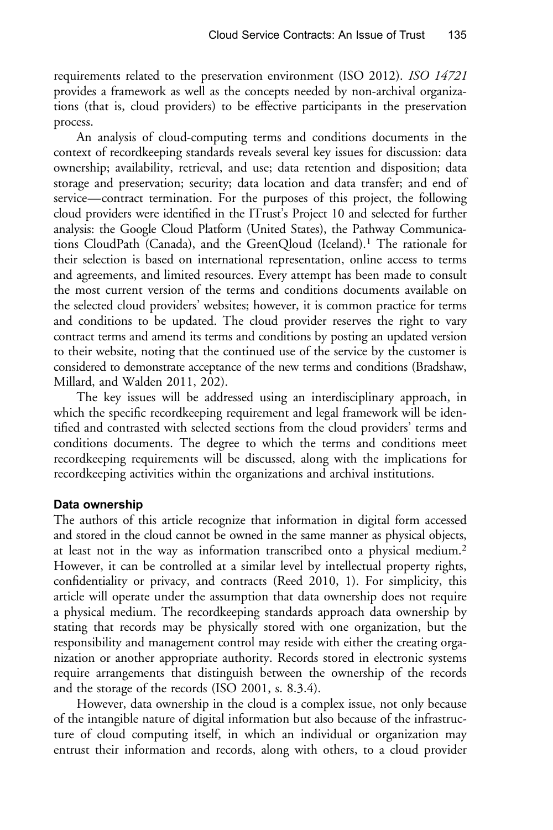requirements related to the preservation environment (ISO 2012). ISO 14721 provides a framework as well as the concepts needed by non-archival organizations (that is, cloud providers) to be effective participants in the preservation process.

An analysis of cloud-computing terms and conditions documents in the context of recordkeeping standards reveals several key issues for discussion: data ownership; availability, retrieval, and use; data retention and disposition; data storage and preservation; security; data location and data transfer; and end of service—contract termination. For the purposes of this project, the following cloud providers were identified in the ITrust's Project 10 and selected for further analysis: the Google Cloud Platform (United States), the Pathway Communications CloudPath (Canada), and the GreenQloud (Iceland).<sup>1</sup> The rationale for their selection is based on international representation, online access to terms and agreements, and limited resources. Every attempt has been made to consult the most current version of the terms and conditions documents available on the selected cloud providers' websites; however, it is common practice for terms and conditions to be updated. The cloud provider reserves the right to vary contract terms and amend its terms and conditions by posting an updated version to their website, noting that the continued use of the service by the customer is considered to demonstrate acceptance of the new terms and conditions ([Bradshaw,](#page-25-0) [Millard, and Walden 2011,](#page-25-0) 202).

The key issues will be addressed using an interdisciplinary approach, in which the specific recordkeeping requirement and legal framework will be identified and contrasted with selected sections from the cloud providers' terms and conditions documents. The degree to which the terms and conditions meet recordkeeping requirements will be discussed, along with the implications for recordkeeping activities within the organizations and archival institutions.

#### Data ownership

The authors of this article recognize that information in digital form accessed and stored in the cloud cannot be owned in the same manner as physical objects, at least not in the way as information transcribed onto a physical medium.<sup>2</sup> However, it can be controlled at a similar level by intellectual property rights, confidentiality or privacy, and contracts [\(Reed 2010](#page-26-0), 1). For simplicity, this article will operate under the assumption that data ownership does not require a physical medium. The recordkeeping standards approach data ownership by stating that records may be physically stored with one organization, but the responsibility and management control may reside with either the creating organization or another appropriate authority. Records stored in electronic systems require arrangements that distinguish between the ownership of the records and the storage of the records (ISO 2001, s. 8.3.4).

However, data ownership in the cloud is a complex issue, not only because of the intangible nature of digital information but also because of the infrastructure of cloud computing itself, in which an individual or organization may entrust their information and records, along with others, to a cloud provider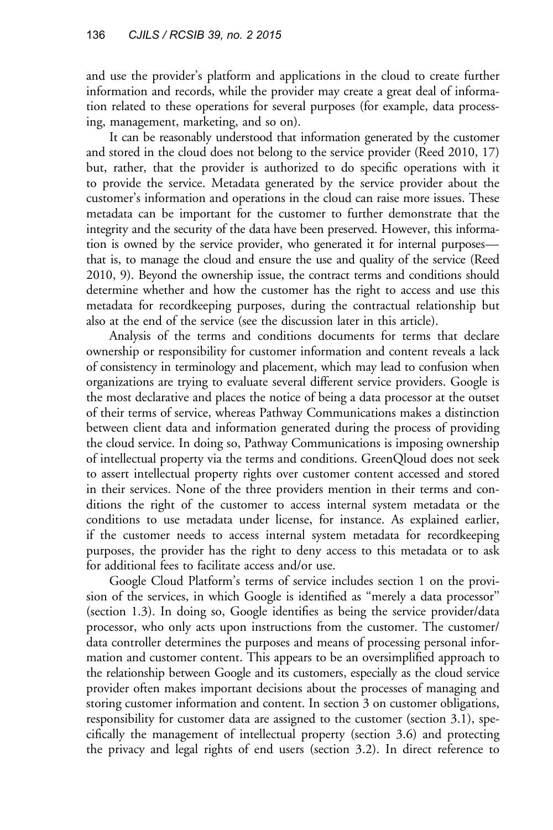and use the provider's platform and applications in the cloud to create further information and records, while the provider may create a great deal of information related to these operations for several purposes (for example, data processing, management, marketing, and so on).

It can be reasonably understood that information generated by the customer and stored in the cloud does not belong to the service provider ([Reed 2010,](#page-26-0) 17) but, rather, that the provider is authorized to do specific operations with it to provide the service. Metadata generated by the service provider about the customer's information and operations in the cloud can raise more issues. These metadata can be important for the customer to further demonstrate that the integrity and the security of the data have been preserved. However, this information is owned by the service provider, who generated it for internal purposes that is, to manage the cloud and ensure the use and quality of the service [\(Reed](#page-26-0) [2010,](#page-26-0) 9). Beyond the ownership issue, the contract terms and conditions should determine whether and how the customer has the right to access and use this metadata for recordkeeping purposes, during the contractual relationship but also at the end of the service (see the discussion later in this article).

Analysis of the terms and conditions documents for terms that declare ownership or responsibility for customer information and content reveals a lack of consistency in terminology and placement, which may lead to confusion when organizations are trying to evaluate several different service providers. Google is the most declarative and places the notice of being a data processor at the outset of their terms of service, whereas Pathway Communications makes a distinction between client data and information generated during the process of providing the cloud service. In doing so, Pathway Communications is imposing ownership of intellectual property via the terms and conditions. GreenQloud does not seek to assert intellectual property rights over customer content accessed and stored in their services. None of the three providers mention in their terms and conditions the right of the customer to access internal system metadata or the conditions to use metadata under license, for instance. As explained earlier, if the customer needs to access internal system metadata for recordkeeping purposes, the provider has the right to deny access to this metadata or to ask for additional fees to facilitate access and/or use.

Google Cloud Platform's terms of service includes section 1 on the provision of the services, in which Google is identified as ''merely a data processor'' (section 1.3). In doing so, Google identifies as being the service provider/data processor, who only acts upon instructions from the customer. The customer/ data controller determines the purposes and means of processing personal information and customer content. This appears to be an oversimplified approach to the relationship between Google and its customers, especially as the cloud service provider often makes important decisions about the processes of managing and storing customer information and content. In section 3 on customer obligations, responsibility for customer data are assigned to the customer (section 3.1), specifically the management of intellectual property (section 3.6) and protecting the privacy and legal rights of end users (section 3.2). In direct reference to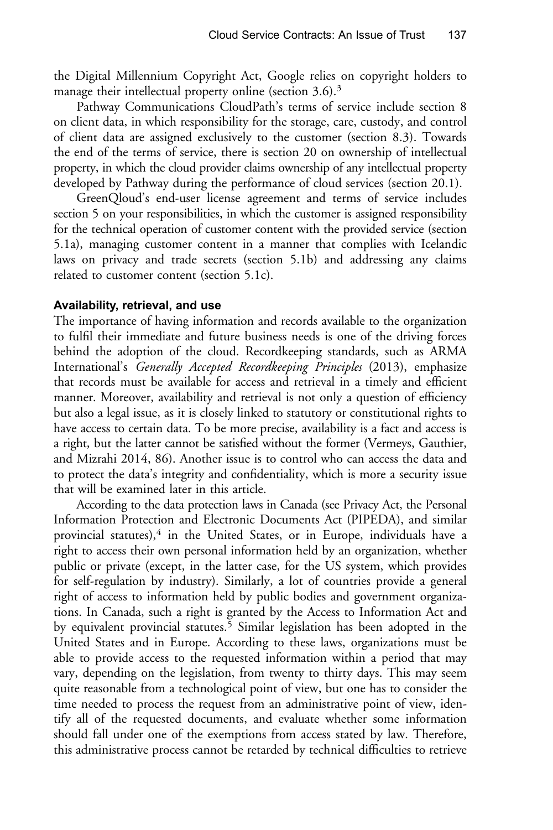the Digital Millennium Copyright Act, Google relies on copyright holders to manage their intellectual property online (section 3.6).<sup>3</sup>

Pathway Communications CloudPath's terms of service include section 8 on client data, in which responsibility for the storage, care, custody, and control of client data are assigned exclusively to the customer (section 8.3). Towards the end of the terms of service, there is section 20 on ownership of intellectual property, in which the cloud provider claims ownership of any intellectual property developed by Pathway during the performance of cloud services (section 20.1).

GreenQloud's end-user license agreement and terms of service includes section 5 on your responsibilities, in which the customer is assigned responsibility for the technical operation of customer content with the provided service (section 5.1a), managing customer content in a manner that complies with Icelandic laws on privacy and trade secrets (section 5.1b) and addressing any claims related to customer content (section 5.1c).

#### Availability, retrieval, and use

The importance of having information and records available to the organization to fulfil their immediate and future business needs is one of the driving forces behind the adoption of the cloud. Recordkeeping standards, such as ARMA International's Generally Accepted Recordkeeping Principles (2013), emphasize that records must be available for access and retrieval in a timely and efficient manner. Moreover, availability and retrieval is not only a question of efficiency but also a legal issue, as it is closely linked to statutory or constitutional rights to have access to certain data. To be more precise, availability is a fact and access is a right, but the latter cannot be satisfied without the former [\(Vermeys, Gauthier,](#page-26-0) [and Mizrahi 2014](#page-26-0), 86). Another issue is to control who can access the data and to protect the data's integrity and confidentiality, which is more a security issue that will be examined later in this article.

According to the data protection laws in Canada (see Privacy Act, the Personal Information Protection and Electronic Documents Act (PIPEDA), and similar provincial statutes), $4$  in the United States, or in Europe, individuals have a right to access their own personal information held by an organization, whether public or private (except, in the latter case, for the US system, which provides for self-regulation by industry). Similarly, a lot of countries provide a general right of access to information held by public bodies and government organizations. In Canada, such a right is granted by the Access to Information Act and by equivalent provincial statutes.<sup>5</sup> Similar legislation has been adopted in the United States and in Europe. According to these laws, organizations must be able to provide access to the requested information within a period that may vary, depending on the legislation, from twenty to thirty days. This may seem quite reasonable from a technological point of view, but one has to consider the time needed to process the request from an administrative point of view, identify all of the requested documents, and evaluate whether some information should fall under one of the exemptions from access stated by law. Therefore, this administrative process cannot be retarded by technical difficulties to retrieve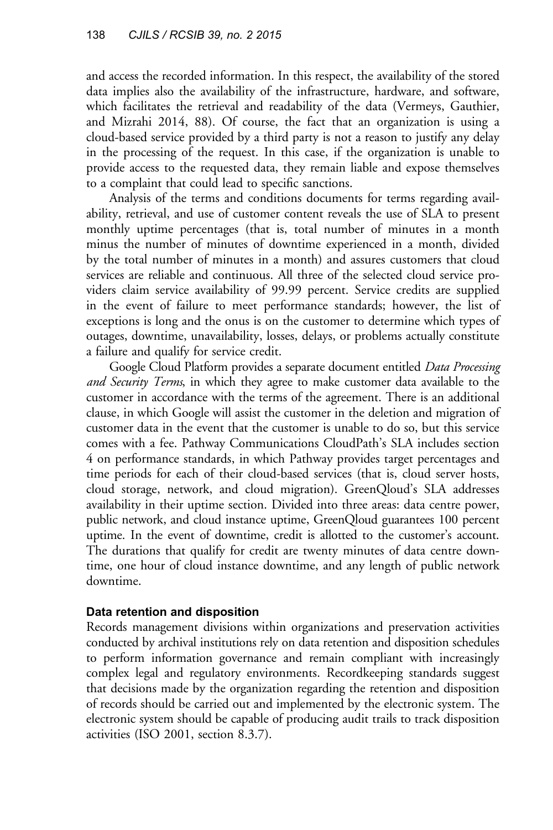and access the recorded information. In this respect, the availability of the stored data implies also the availability of the infrastructure, hardware, and software, which facilitates the retrieval and readability of the data ([Vermeys, Gauthier,](#page-26-0) [and Mizrahi 2014](#page-26-0), 88). Of course, the fact that an organization is using a cloud-based service provided by a third party is not a reason to justify any delay in the processing of the request. In this case, if the organization is unable to provide access to the requested data, they remain liable and expose themselves to a complaint that could lead to specific sanctions.

Analysis of the terms and conditions documents for terms regarding availability, retrieval, and use of customer content reveals the use of SLA to present monthly uptime percentages (that is, total number of minutes in a month minus the number of minutes of downtime experienced in a month, divided by the total number of minutes in a month) and assures customers that cloud services are reliable and continuous. All three of the selected cloud service providers claim service availability of 99.99 percent. Service credits are supplied in the event of failure to meet performance standards; however, the list of exceptions is long and the onus is on the customer to determine which types of outages, downtime, unavailability, losses, delays, or problems actually constitute a failure and qualify for service credit.

Google Cloud Platform provides a separate document entitled Data Processing and Security Terms, in which they agree to make customer data available to the customer in accordance with the terms of the agreement. There is an additional clause, in which Google will assist the customer in the deletion and migration of customer data in the event that the customer is unable to do so, but this service comes with a fee. Pathway Communications CloudPath's SLA includes section 4 on performance standards, in which Pathway provides target percentages and time periods for each of their cloud-based services (that is, cloud server hosts, cloud storage, network, and cloud migration). GreenQloud's SLA addresses availability in their uptime section. Divided into three areas: data centre power, public network, and cloud instance uptime, GreenQloud guarantees 100 percent uptime. In the event of downtime, credit is allotted to the customer's account. The durations that qualify for credit are twenty minutes of data centre downtime, one hour of cloud instance downtime, and any length of public network downtime.

#### Data retention and disposition

Records management divisions within organizations and preservation activities conducted by archival institutions rely on data retention and disposition schedules to perform information governance and remain compliant with increasingly complex legal and regulatory environments. Recordkeeping standards suggest that decisions made by the organization regarding the retention and disposition of records should be carried out and implemented by the electronic system. The electronic system should be capable of producing audit trails to track disposition activities (ISO 2001, section 8.3.7).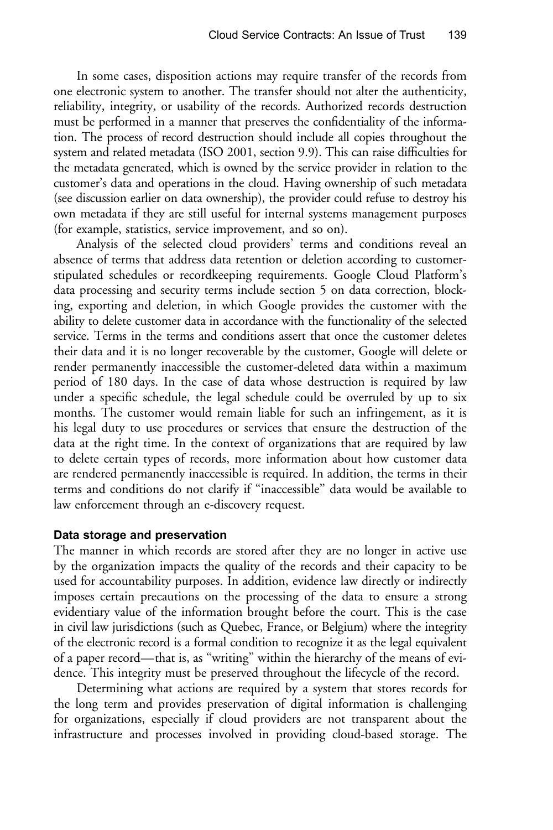In some cases, disposition actions may require transfer of the records from one electronic system to another. The transfer should not alter the authenticity, reliability, integrity, or usability of the records. Authorized records destruction must be performed in a manner that preserves the confidentiality of the information. The process of record destruction should include all copies throughout the system and related metadata (ISO 2001, section 9.9). This can raise difficulties for the metadata generated, which is owned by the service provider in relation to the customer's data and operations in the cloud. Having ownership of such metadata (see discussion earlier on data ownership), the provider could refuse to destroy his own metadata if they are still useful for internal systems management purposes (for example, statistics, service improvement, and so on).

Analysis of the selected cloud providers' terms and conditions reveal an absence of terms that address data retention or deletion according to customerstipulated schedules or recordkeeping requirements. Google Cloud Platform's data processing and security terms include section 5 on data correction, blocking, exporting and deletion, in which Google provides the customer with the ability to delete customer data in accordance with the functionality of the selected service. Terms in the terms and conditions assert that once the customer deletes their data and it is no longer recoverable by the customer, Google will delete or render permanently inaccessible the customer-deleted data within a maximum period of 180 days. In the case of data whose destruction is required by law under a specific schedule, the legal schedule could be overruled by up to six months. The customer would remain liable for such an infringement, as it is his legal duty to use procedures or services that ensure the destruction of the data at the right time. In the context of organizations that are required by law to delete certain types of records, more information about how customer data are rendered permanently inaccessible is required. In addition, the terms in their terms and conditions do not clarify if ''inaccessible'' data would be available to law enforcement through an e-discovery request.

# Data storage and preservation

The manner in which records are stored after they are no longer in active use by the organization impacts the quality of the records and their capacity to be used for accountability purposes. In addition, evidence law directly or indirectly imposes certain precautions on the processing of the data to ensure a strong evidentiary value of the information brought before the court. This is the case in civil law jurisdictions (such as Quebec, France, or Belgium) where the integrity of the electronic record is a formal condition to recognize it as the legal equivalent of a paper record—that is, as ''writing'' within the hierarchy of the means of evidence. This integrity must be preserved throughout the lifecycle of the record.

Determining what actions are required by a system that stores records for the long term and provides preservation of digital information is challenging for organizations, especially if cloud providers are not transparent about the infrastructure and processes involved in providing cloud-based storage. The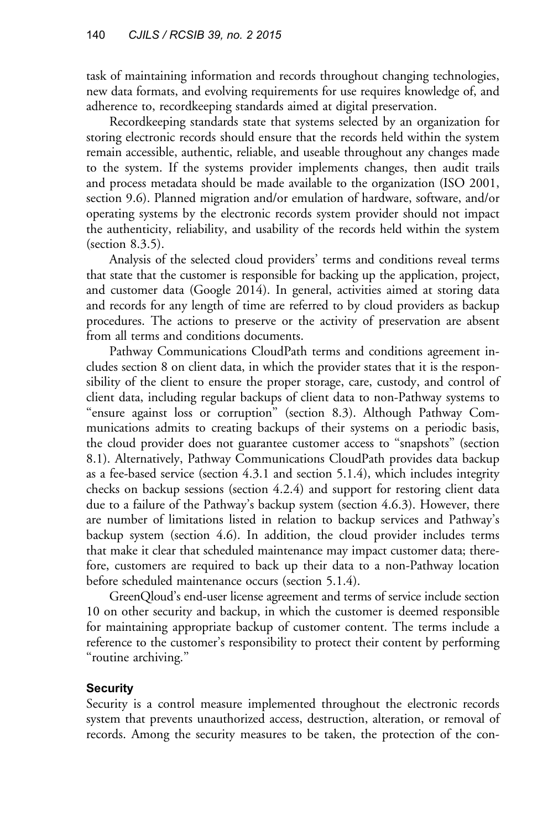task of maintaining information and records throughout changing technologies, new data formats, and evolving requirements for use requires knowledge of, and adherence to, recordkeeping standards aimed at digital preservation.

Recordkeeping standards state that systems selected by an organization for storing electronic records should ensure that the records held within the system remain accessible, authentic, reliable, and useable throughout any changes made to the system. If the systems provider implements changes, then audit trails and process metadata should be made available to the organization (ISO 2001, section 9.6). Planned migration and/or emulation of hardware, software, and/or operating systems by the electronic records system provider should not impact the authenticity, reliability, and usability of the records held within the system (section 8.3.5).

Analysis of the selected cloud providers' terms and conditions reveal terms that state that the customer is responsible for backing up the application, project, and customer data (Google 2014). In general, activities aimed at storing data and records for any length of time are referred to by cloud providers as backup procedures. The actions to preserve or the activity of preservation are absent from all terms and conditions documents.

Pathway Communications CloudPath terms and conditions agreement includes section 8 on client data, in which the provider states that it is the responsibility of the client to ensure the proper storage, care, custody, and control of client data, including regular backups of client data to non-Pathway systems to "ensure against loss or corruption" (section 8.3). Although Pathway Communications admits to creating backups of their systems on a periodic basis, the cloud provider does not guarantee customer access to ''snapshots'' (section 8.1). Alternatively, Pathway Communications CloudPath provides data backup as a fee-based service (section 4.3.1 and section 5.1.4), which includes integrity checks on backup sessions (section 4.2.4) and support for restoring client data due to a failure of the Pathway's backup system (section 4.6.3). However, there are number of limitations listed in relation to backup services and Pathway's backup system (section 4.6). In addition, the cloud provider includes terms that make it clear that scheduled maintenance may impact customer data; therefore, customers are required to back up their data to a non-Pathway location before scheduled maintenance occurs (section 5.1.4).

GreenQloud's end-user license agreement and terms of service include section 10 on other security and backup, in which the customer is deemed responsible for maintaining appropriate backup of customer content. The terms include a reference to the customer's responsibility to protect their content by performing ''routine archiving.''

#### **Security**

Security is a control measure implemented throughout the electronic records system that prevents unauthorized access, destruction, alteration, or removal of records. Among the security measures to be taken, the protection of the con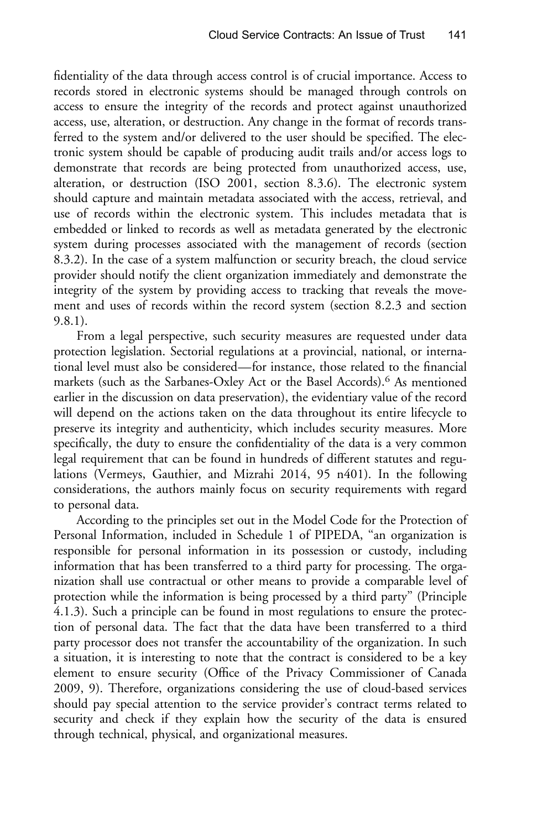fidentiality of the data through access control is of crucial importance. Access to records stored in electronic systems should be managed through controls on access to ensure the integrity of the records and protect against unauthorized access, use, alteration, or destruction. Any change in the format of records transferred to the system and/or delivered to the user should be specified. The electronic system should be capable of producing audit trails and/or access logs to demonstrate that records are being protected from unauthorized access, use, alteration, or destruction (ISO 2001, section 8.3.6). The electronic system should capture and maintain metadata associated with the access, retrieval, and use of records within the electronic system. This includes metadata that is embedded or linked to records as well as metadata generated by the electronic system during processes associated with the management of records (section 8.3.2). In the case of a system malfunction or security breach, the cloud service provider should notify the client organization immediately and demonstrate the integrity of the system by providing access to tracking that reveals the movement and uses of records within the record system (section 8.2.3 and section 9.8.1).

From a legal perspective, such security measures are requested under data protection legislation. Sectorial regulations at a provincial, national, or international level must also be considered—for instance, those related to the financial markets (such as the Sarbanes-Oxley Act or the Basel Accords).<sup>6</sup> As mentioned earlier in the discussion on data preservation), the evidentiary value of the record will depend on the actions taken on the data throughout its entire lifecycle to preserve its integrity and authenticity, which includes security measures. More specifically, the duty to ensure the confidentiality of the data is a very common legal requirement that can be found in hundreds of different statutes and regulations [\(Vermeys, Gauthier, and Mizrahi 2014,](#page-26-0) 95 n401). In the following considerations, the authors mainly focus on security requirements with regard to personal data.

According to the principles set out in the Model Code for the Protection of Personal Information, included in Schedule 1 of PIPEDA, ''an organization is responsible for personal information in its possession or custody, including information that has been transferred to a third party for processing. The organization shall use contractual or other means to provide a comparable level of protection while the information is being processed by a third party'' (Principle 4.1.3). Such a principle can be found in most regulations to ensure the protection of personal data. The fact that the data have been transferred to a third party processor does not transfer the accountability of the organization. In such a situation, it is interesting to note that the contract is considered to be a key element to ensure security (Office of the Privacy Commissioner of Canada 2009, 9). Therefore, organizations considering the use of cloud-based services should pay special attention to the service provider's contract terms related to security and check if they explain how the security of the data is ensured through technical, physical, and organizational measures.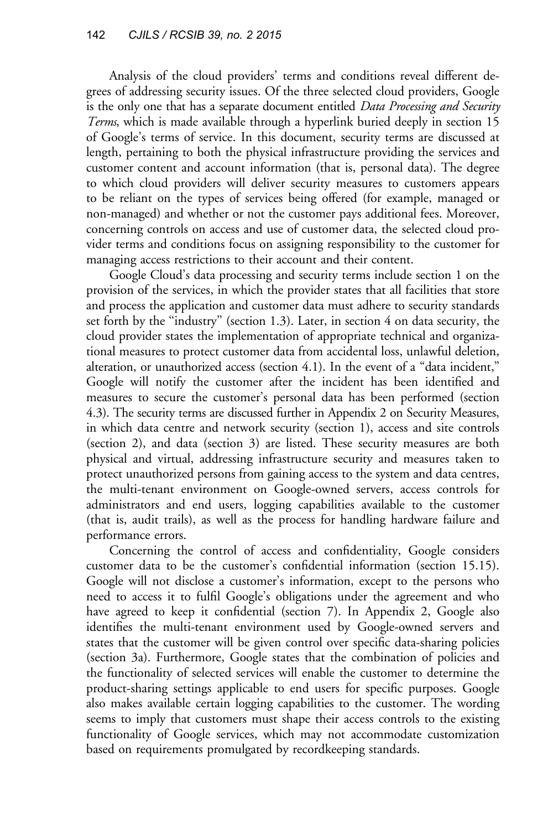Analysis of the cloud providers' terms and conditions reveal different degrees of addressing security issues. Of the three selected cloud providers, Google is the only one that has a separate document entitled *Data Processing and Security* Terms, which is made available through a hyperlink buried deeply in section 15 of Google's terms of service. In this document, security terms are discussed at length, pertaining to both the physical infrastructure providing the services and customer content and account information (that is, personal data). The degree to which cloud providers will deliver security measures to customers appears to be reliant on the types of services being offered (for example, managed or non-managed) and whether or not the customer pays additional fees. Moreover, concerning controls on access and use of customer data, the selected cloud provider terms and conditions focus on assigning responsibility to the customer for managing access restrictions to their account and their content.

Google Cloud's data processing and security terms include section 1 on the provision of the services, in which the provider states that all facilities that store and process the application and customer data must adhere to security standards set forth by the ''industry'' (section 1.3). Later, in section 4 on data security, the cloud provider states the implementation of appropriate technical and organizational measures to protect customer data from accidental loss, unlawful deletion, alteration, or unauthorized access (section 4.1). In the event of a ''data incident,'' Google will notify the customer after the incident has been identified and measures to secure the customer's personal data has been performed (section 4.3). The security terms are discussed further in Appendix 2 on Security Measures, in which data centre and network security (section 1), access and site controls (section 2), and data (section 3) are listed. These security measures are both physical and virtual, addressing infrastructure security and measures taken to protect unauthorized persons from gaining access to the system and data centres, the multi-tenant environment on Google-owned servers, access controls for administrators and end users, logging capabilities available to the customer (that is, audit trails), as well as the process for handling hardware failure and performance errors.

Concerning the control of access and confidentiality, Google considers customer data to be the customer's confidential information (section 15.15). Google will not disclose a customer's information, except to the persons who need to access it to fulfil Google's obligations under the agreement and who have agreed to keep it confidential (section 7). In Appendix 2, Google also identifies the multi-tenant environment used by Google-owned servers and states that the customer will be given control over specific data-sharing policies (section 3a). Furthermore, Google states that the combination of policies and the functionality of selected services will enable the customer to determine the product-sharing settings applicable to end users for specific purposes. Google also makes available certain logging capabilities to the customer. The wording seems to imply that customers must shape their access controls to the existing functionality of Google services, which may not accommodate customization based on requirements promulgated by recordkeeping standards.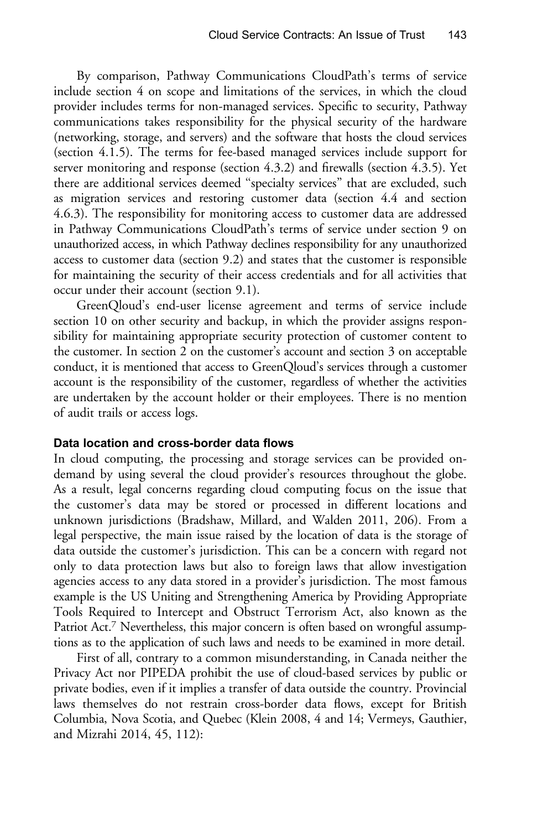By comparison, Pathway Communications CloudPath's terms of service include section 4 on scope and limitations of the services, in which the cloud provider includes terms for non-managed services. Specific to security, Pathway communications takes responsibility for the physical security of the hardware (networking, storage, and servers) and the software that hosts the cloud services (section 4.1.5). The terms for fee-based managed services include support for server monitoring and response (section 4.3.2) and firewalls (section 4.3.5). Yet there are additional services deemed ''specialty services'' that are excluded, such as migration services and restoring customer data (section 4.4 and section 4.6.3). The responsibility for monitoring access to customer data are addressed in Pathway Communications CloudPath's terms of service under section 9 on unauthorized access, in which Pathway declines responsibility for any unauthorized access to customer data (section 9.2) and states that the customer is responsible for maintaining the security of their access credentials and for all activities that occur under their account (section 9.1).

GreenQloud's end-user license agreement and terms of service include section 10 on other security and backup, in which the provider assigns responsibility for maintaining appropriate security protection of customer content to the customer. In section 2 on the customer's account and section 3 on acceptable conduct, it is mentioned that access to GreenQloud's services through a customer account is the responsibility of the customer, regardless of whether the activities are undertaken by the account holder or their employees. There is no mention of audit trails or access logs.

# Data location and cross-border data flows

In cloud computing, the processing and storage services can be provided ondemand by using several the cloud provider's resources throughout the globe. As a result, legal concerns regarding cloud computing focus on the issue that the customer's data may be stored or processed in different locations and unknown jurisdictions ([Bradshaw, Millard, and Walden 2011,](#page-25-0) 206). From a legal perspective, the main issue raised by the location of data is the storage of data outside the customer's jurisdiction. This can be a concern with regard not only to data protection laws but also to foreign laws that allow investigation agencies access to any data stored in a provider's jurisdiction. The most famous example is the US Uniting and Strengthening America by Providing Appropriate Tools Required to Intercept and Obstruct Terrorism Act, also known as the Patriot Act.<sup>7</sup> Nevertheless, this major concern is often based on wrongful assumptions as to the application of such laws and needs to be examined in more detail.

First of all, contrary to a common misunderstanding, in Canada neither the Privacy Act nor PIPEDA prohibit the use of cloud-based services by public or private bodies, even if it implies a transfer of data outside the country. Provincial laws themselves do not restrain cross-border data flows, except for British Columbia, Nova Scotia, and Quebec [\(Klein 2008,](#page-26-0) 4 and 14; [Vermeys, Gauthier,](#page-26-0) [and Mizrahi 2014](#page-26-0), 45, 112):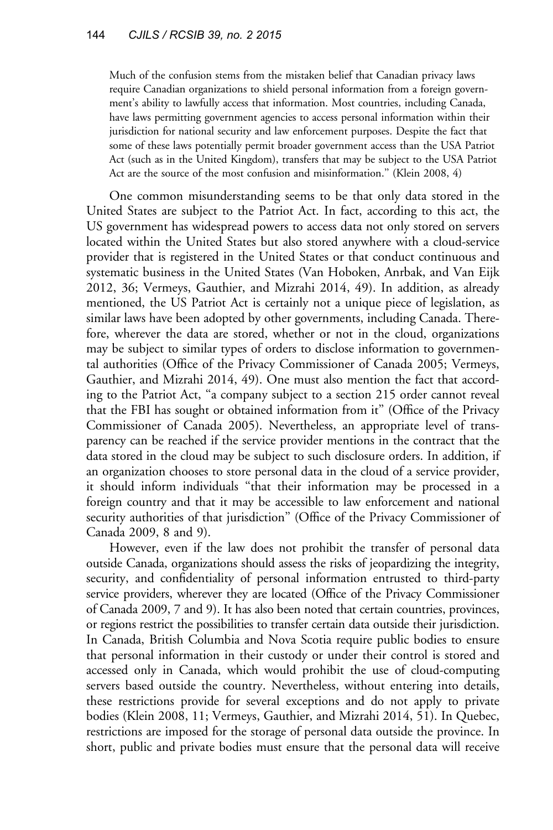Much of the confusion stems from the mistaken belief that Canadian privacy laws require Canadian organizations to shield personal information from a foreign government's ability to lawfully access that information. Most countries, including Canada, have laws permitting government agencies to access personal information within their jurisdiction for national security and law enforcement purposes. Despite the fact that some of these laws potentially permit broader government access than the USA Patriot Act (such as in the United Kingdom), transfers that may be subject to the USA Patriot Act are the source of the most confusion and misinformation.'' [\(Klein 2008,](#page-26-0) 4)

One common misunderstanding seems to be that only data stored in the United States are subject to the Patriot Act. In fact, according to this act, the US government has widespread powers to access data not only stored on servers located within the United States but also stored anywhere with a cloud-service provider that is registered in the United States or that conduct continuous and systematic business in the United States [\(Van Hoboken, Anrbak, and Van Eijk](#page-26-0) [2012](#page-26-0), 36; [Vermeys, Gauthier, and Mizrahi 2014,](#page-26-0) 49). In addition, as already mentioned, the US Patriot Act is certainly not a unique piece of legislation, as similar laws have been adopted by other governments, including Canada. Therefore, wherever the data are stored, whether or not in the cloud, organizations may be subject to similar types of orders to disclose information to governmental authorities ([Office of the Privacy Commissioner of Canada 2005; Vermeys,](#page-26-0) [Gauthier, and Mizrahi 2014,](#page-26-0) 49). One must also mention the fact that according to the Patriot Act, ''a company subject to a section 215 order cannot reveal that the FBI has sought or obtained information from it'' [\(Office of the Privacy](#page-26-0) [Commissioner of Canada 2005](#page-26-0)). Nevertheless, an appropriate level of transparency can be reached if the service provider mentions in the contract that the data stored in the cloud may be subject to such disclosure orders. In addition, if an organization chooses to store personal data in the cloud of a service provider, it should inform individuals ''that their information may be processed in a foreign country and that it may be accessible to law enforcement and national security authorities of that jurisdiction'' (Office of the Privacy Commissioner of Canada 2009, 8 and 9).

However, even if the law does not prohibit the transfer of personal data outside Canada, organizations should assess the risks of jeopardizing the integrity, security, and confidentiality of personal information entrusted to third-party service providers, wherever they are located (Office of the Privacy Commissioner of Canada 2009, 7 and 9). It has also been noted that certain countries, provinces, or regions restrict the possibilities to transfer certain data outside their jurisdiction. In Canada, British Columbia and Nova Scotia require public bodies to ensure that personal information in their custody or under their control is stored and accessed only in Canada, which would prohibit the use of cloud-computing servers based outside the country. Nevertheless, without entering into details, these restrictions provide for several exceptions and do not apply to private bodies [\(Klein 2008](#page-26-0), 11; [Vermeys, Gauthier, and Mizrahi 2014,](#page-26-0) 51). In Quebec, restrictions are imposed for the storage of personal data outside the province. In short, public and private bodies must ensure that the personal data will receive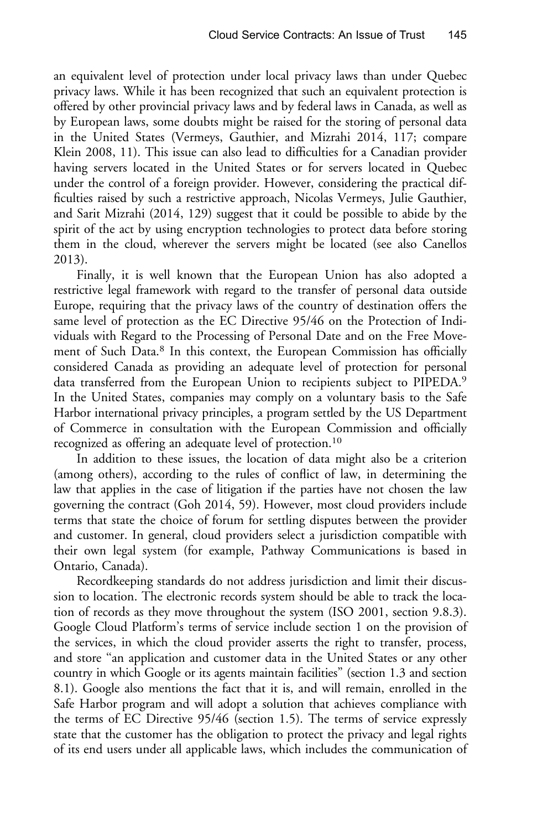an equivalent level of protection under local privacy laws than under Quebec privacy laws. While it has been recognized that such an equivalent protection is offered by other provincial privacy laws and by federal laws in Canada, as well as by European laws, some doubts might be raised for the storing of personal data in the United States ([Vermeys, Gauthier, and Mizrahi 2014,](#page-26-0) 117; compare [Klein 2008,](#page-26-0) 11). This issue can also lead to difficulties for a Canadian provider having servers located in the United States or for servers located in Quebec under the control of a foreign provider. However, considering the practical difficulties raised by such a restrictive approach, Nicolas Vermeys, Julie Gauthier, and Sarit Mizrahi (2014, 129) suggest that it could be possible to abide by the spirit of the act by using encryption technologies to protect data before storing them in the cloud, wherever the servers might be located (see also [Canellos](#page-25-0) [2013\)](#page-25-0).

Finally, it is well known that the European Union has also adopted a restrictive legal framework with regard to the transfer of personal data outside Europe, requiring that the privacy laws of the country of destination offers the same level of protection as the EC Directive 95/46 on the Protection of Individuals with Regard to the Processing of Personal Date and on the Free Movement of Such Data.<sup>8</sup> In this context, the European Commission has officially considered Canada as providing an adequate level of protection for personal data transferred from the European Union to recipients subject to PIPEDA.9 In the United States, companies may comply on a voluntary basis to the Safe Harbor international privacy principles, a program settled by the US Department of Commerce in consultation with the European Commission and officially recognized as offering an adequate level of protection.<sup>10</sup>

In addition to these issues, the location of data might also be a criterion (among others), according to the rules of conflict of law, in determining the law that applies in the case of litigation if the parties have not chosen the law governing the contract ([Goh 2014,](#page-26-0) 59). However, most cloud providers include terms that state the choice of forum for settling disputes between the provider and customer. In general, cloud providers select a jurisdiction compatible with their own legal system (for example, Pathway Communications is based in Ontario, Canada).

Recordkeeping standards do not address jurisdiction and limit their discussion to location. The electronic records system should be able to track the location of records as they move throughout the system (ISO 2001, section 9.8.3). Google Cloud Platform's terms of service include section 1 on the provision of the services, in which the cloud provider asserts the right to transfer, process, and store ''an application and customer data in the United States or any other country in which Google or its agents maintain facilities'' (section 1.3 and section 8.1). Google also mentions the fact that it is, and will remain, enrolled in the Safe Harbor program and will adopt a solution that achieves compliance with the terms of EC Directive 95/46 (section 1.5). The terms of service expressly state that the customer has the obligation to protect the privacy and legal rights of its end users under all applicable laws, which includes the communication of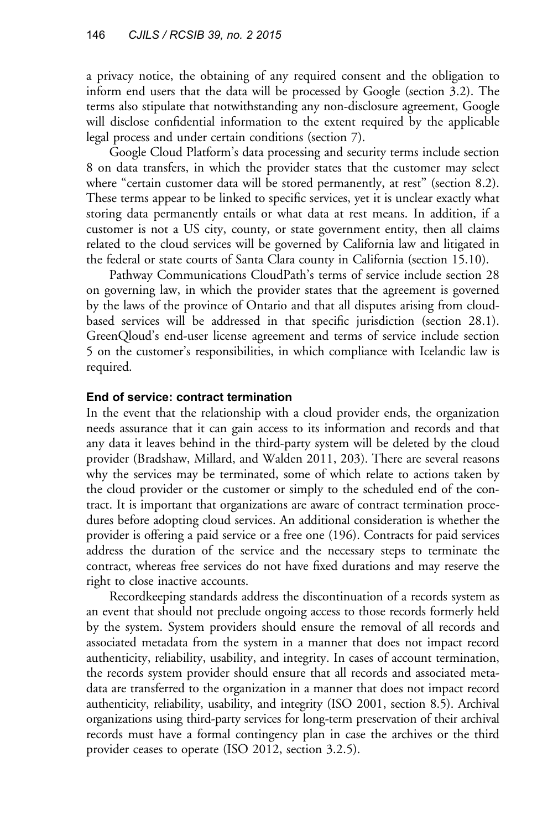a privacy notice, the obtaining of any required consent and the obligation to inform end users that the data will be processed by Google (section 3.2). The terms also stipulate that notwithstanding any non-disclosure agreement, Google will disclose confidential information to the extent required by the applicable legal process and under certain conditions (section 7).

Google Cloud Platform's data processing and security terms include section 8 on data transfers, in which the provider states that the customer may select where "certain customer data will be stored permanently, at rest" (section 8.2). These terms appear to be linked to specific services, yet it is unclear exactly what storing data permanently entails or what data at rest means. In addition, if a customer is not a US city, county, or state government entity, then all claims related to the cloud services will be governed by California law and litigated in the federal or state courts of Santa Clara county in California (section 15.10).

Pathway Communications CloudPath's terms of service include section 28 on governing law, in which the provider states that the agreement is governed by the laws of the province of Ontario and that all disputes arising from cloudbased services will be addressed in that specific jurisdiction (section 28.1). GreenQloud's end-user license agreement and terms of service include section 5 on the customer's responsibilities, in which compliance with Icelandic law is required.

# End of service: contract termination

In the event that the relationship with a cloud provider ends, the organization needs assurance that it can gain access to its information and records and that any data it leaves behind in the third-party system will be deleted by the cloud provider [\(Bradshaw, Millard, and Walden 2011](#page-25-0), 203). There are several reasons why the services may be terminated, some of which relate to actions taken by the cloud provider or the customer or simply to the scheduled end of the contract. It is important that organizations are aware of contract termination procedures before adopting cloud services. An additional consideration is whether the provider is offering a paid service or a free one (196). Contracts for paid services address the duration of the service and the necessary steps to terminate the contract, whereas free services do not have fixed durations and may reserve the right to close inactive accounts.

Recordkeeping standards address the discontinuation of a records system as an event that should not preclude ongoing access to those records formerly held by the system. System providers should ensure the removal of all records and associated metadata from the system in a manner that does not impact record authenticity, reliability, usability, and integrity. In cases of account termination, the records system provider should ensure that all records and associated metadata are transferred to the organization in a manner that does not impact record authenticity, reliability, usability, and integrity (ISO 2001, section 8.5). Archival organizations using third-party services for long-term preservation of their archival records must have a formal contingency plan in case the archives or the third provider ceases to operate (ISO 2012, section 3.2.5).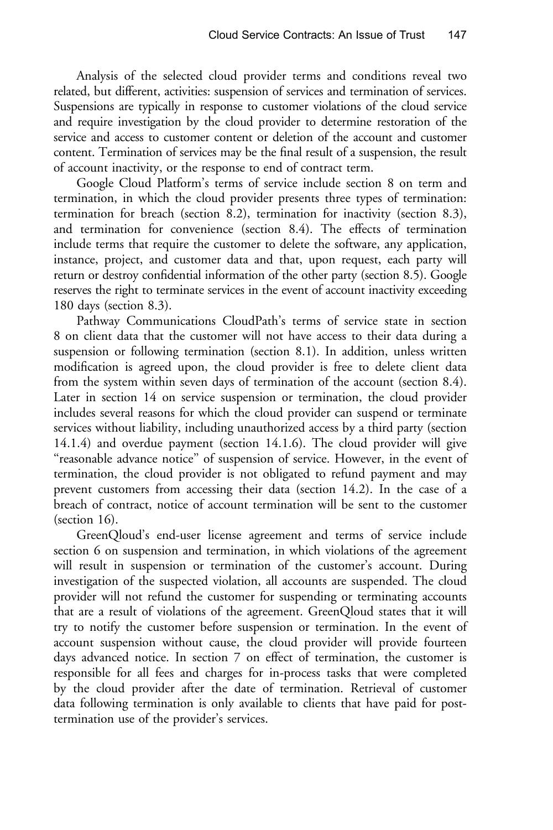Analysis of the selected cloud provider terms and conditions reveal two related, but different, activities: suspension of services and termination of services. Suspensions are typically in response to customer violations of the cloud service and require investigation by the cloud provider to determine restoration of the service and access to customer content or deletion of the account and customer content. Termination of services may be the final result of a suspension, the result of account inactivity, or the response to end of contract term.

Google Cloud Platform's terms of service include section 8 on term and termination, in which the cloud provider presents three types of termination: termination for breach (section 8.2), termination for inactivity (section 8.3), and termination for convenience (section 8.4). The effects of termination include terms that require the customer to delete the software, any application, instance, project, and customer data and that, upon request, each party will return or destroy confidential information of the other party (section 8.5). Google reserves the right to terminate services in the event of account inactivity exceeding 180 days (section 8.3).

Pathway Communications CloudPath's terms of service state in section 8 on client data that the customer will not have access to their data during a suspension or following termination (section 8.1). In addition, unless written modification is agreed upon, the cloud provider is free to delete client data from the system within seven days of termination of the account (section 8.4). Later in section 14 on service suspension or termination, the cloud provider includes several reasons for which the cloud provider can suspend or terminate services without liability, including unauthorized access by a third party (section 14.1.4) and overdue payment (section 14.1.6). The cloud provider will give "reasonable advance notice" of suspension of service. However, in the event of termination, the cloud provider is not obligated to refund payment and may prevent customers from accessing their data (section 14.2). In the case of a breach of contract, notice of account termination will be sent to the customer (section 16).

GreenQloud's end-user license agreement and terms of service include section 6 on suspension and termination, in which violations of the agreement will result in suspension or termination of the customer's account. During investigation of the suspected violation, all accounts are suspended. The cloud provider will not refund the customer for suspending or terminating accounts that are a result of violations of the agreement. GreenQloud states that it will try to notify the customer before suspension or termination. In the event of account suspension without cause, the cloud provider will provide fourteen days advanced notice. In section 7 on effect of termination, the customer is responsible for all fees and charges for in-process tasks that were completed by the cloud provider after the date of termination. Retrieval of customer data following termination is only available to clients that have paid for posttermination use of the provider's services.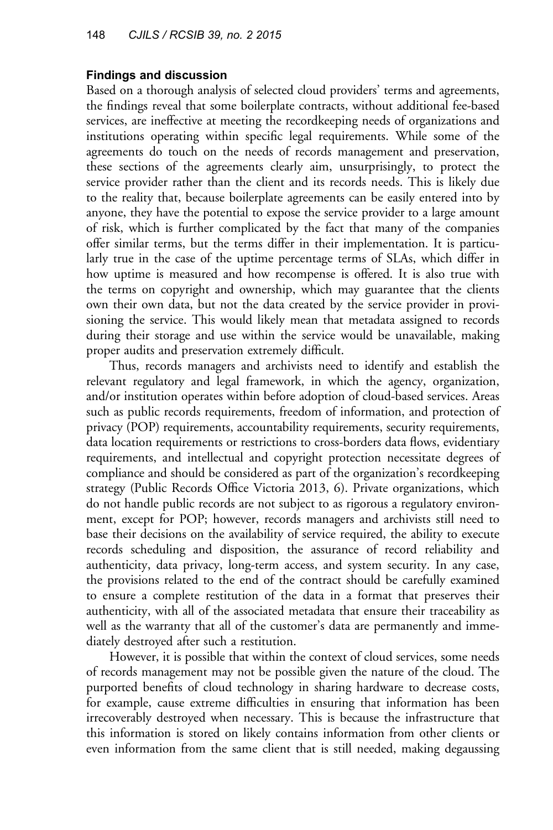#### Findings and discussion

Based on a thorough analysis of selected cloud providers' terms and agreements, the findings reveal that some boilerplate contracts, without additional fee-based services, are ineffective at meeting the recordkeeping needs of organizations and institutions operating within specific legal requirements. While some of the agreements do touch on the needs of records management and preservation, these sections of the agreements clearly aim, unsurprisingly, to protect the service provider rather than the client and its records needs. This is likely due to the reality that, because boilerplate agreements can be easily entered into by anyone, they have the potential to expose the service provider to a large amount of risk, which is further complicated by the fact that many of the companies offer similar terms, but the terms differ in their implementation. It is particularly true in the case of the uptime percentage terms of SLAs, which differ in how uptime is measured and how recompense is offered. It is also true with the terms on copyright and ownership, which may guarantee that the clients own their own data, but not the data created by the service provider in provisioning the service. This would likely mean that metadata assigned to records during their storage and use within the service would be unavailable, making proper audits and preservation extremely difficult.

Thus, records managers and archivists need to identify and establish the relevant regulatory and legal framework, in which the agency, organization, and/or institution operates within before adoption of cloud-based services. Areas such as public records requirements, freedom of information, and protection of privacy (POP) requirements, accountability requirements, security requirements, data location requirements or restrictions to cross-borders data flows, evidentiary requirements, and intellectual and copyright protection necessitate degrees of compliance and should be considered as part of the organization's recordkeeping strategy (Public Records Office Victoria 2013, 6). Private organizations, which do not handle public records are not subject to as rigorous a regulatory environment, except for POP; however, records managers and archivists still need to base their decisions on the availability of service required, the ability to execute records scheduling and disposition, the assurance of record reliability and authenticity, data privacy, long-term access, and system security. In any case, the provisions related to the end of the contract should be carefully examined to ensure a complete restitution of the data in a format that preserves their authenticity, with all of the associated metadata that ensure their traceability as well as the warranty that all of the customer's data are permanently and immediately destroyed after such a restitution.

However, it is possible that within the context of cloud services, some needs of records management may not be possible given the nature of the cloud. The purported benefits of cloud technology in sharing hardware to decrease costs, for example, cause extreme difficulties in ensuring that information has been irrecoverably destroyed when necessary. This is because the infrastructure that this information is stored on likely contains information from other clients or even information from the same client that is still needed, making degaussing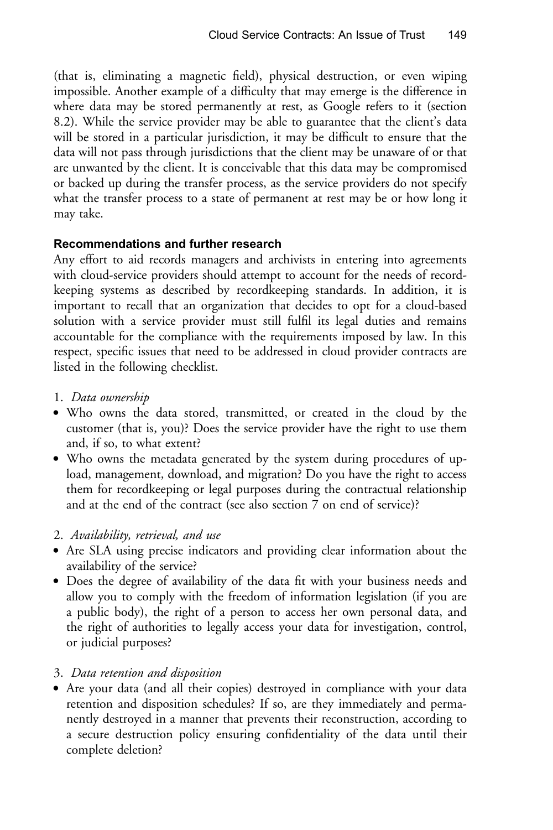(that is, eliminating a magnetic field), physical destruction, or even wiping impossible. Another example of a difficulty that may emerge is the difference in where data may be stored permanently at rest, as Google refers to it (section 8.2). While the service provider may be able to guarantee that the client's data will be stored in a particular jurisdiction, it may be difficult to ensure that the data will not pass through jurisdictions that the client may be unaware of or that are unwanted by the client. It is conceivable that this data may be compromised or backed up during the transfer process, as the service providers do not specify what the transfer process to a state of permanent at rest may be or how long it may take.

# Recommendations and further research

Any effort to aid records managers and archivists in entering into agreements with cloud-service providers should attempt to account for the needs of recordkeeping systems as described by recordkeeping standards. In addition, it is important to recall that an organization that decides to opt for a cloud-based solution with a service provider must still fulfil its legal duties and remains accountable for the compliance with the requirements imposed by law. In this respect, specific issues that need to be addressed in cloud provider contracts are listed in the following checklist.

- 1. Data ownership
- Who owns the data stored, transmitted, or created in the cloud by the customer (that is, you)? Does the service provider have the right to use them and, if so, to what extent?
- Who owns the metadata generated by the system during procedures of upload, management, download, and migration? Do you have the right to access them for recordkeeping or legal purposes during the contractual relationship and at the end of the contract (see also section 7 on end of service)?

# 2. Availability, retrieval, and use

- Are SLA using precise indicators and providing clear information about the availability of the service?
- Does the degree of availability of the data fit with your business needs and allow you to comply with the freedom of information legislation (if you are a public body), the right of a person to access her own personal data, and the right of authorities to legally access your data for investigation, control, or judicial purposes?

# 3. Data retention and disposition

- Are your data (and all their copies) destroyed in compliance with your data retention and disposition schedules? If so, are they immediately and permanently destroyed in a manner that prevents their reconstruction, according to a secure destruction policy ensuring confidentiality of the data until their complete deletion?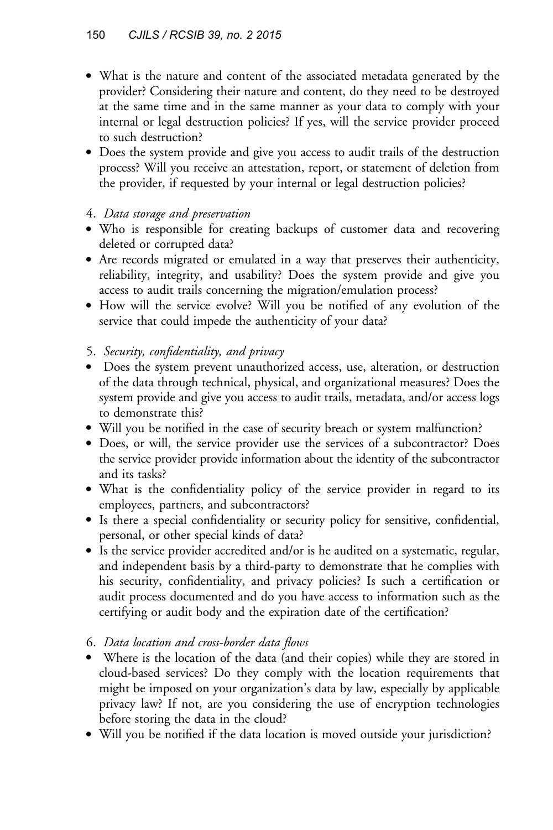- What is the nature and content of the associated metadata generated by the provider? Considering their nature and content, do they need to be destroyed at the same time and in the same manner as your data to comply with your internal or legal destruction policies? If yes, will the service provider proceed to such destruction?
- Does the system provide and give you access to audit trails of the destruction process? Will you receive an attestation, report, or statement of deletion from the provider, if requested by your internal or legal destruction policies?

# 4. Data storage and preservation

- Who is responsible for creating backups of customer data and recovering deleted or corrupted data?
- Are records migrated or emulated in a way that preserves their authenticity, reliability, integrity, and usability? Does the system provide and give you access to audit trails concerning the migration/emulation process?
- How will the service evolve? Will you be notified of any evolution of the service that could impede the authenticity of your data?
- 5. Security, confidentiality, and privacy
- Does the system prevent unauthorized access, use, alteration, or destruction of the data through technical, physical, and organizational measures? Does the system provide and give you access to audit trails, metadata, and/or access logs to demonstrate this?
- Will you be notified in the case of security breach or system malfunction?
- Does, or will, the service provider use the services of a subcontractor? Does the service provider provide information about the identity of the subcontractor and its tasks?
- What is the confidentiality policy of the service provider in regard to its employees, partners, and subcontractors?
- Is there a special confidentiality or security policy for sensitive, confidential, personal, or other special kinds of data?
- Is the service provider accredited and/or is he audited on a systematic, regular, and independent basis by a third-party to demonstrate that he complies with his security, confidentiality, and privacy policies? Is such a certification or audit process documented and do you have access to information such as the certifying or audit body and the expiration date of the certification?
- 6. Data location and cross-border data flows
- Where is the location of the data (and their copies) while they are stored in cloud-based services? Do they comply with the location requirements that might be imposed on your organization's data by law, especially by applicable privacy law? If not, are you considering the use of encryption technologies before storing the data in the cloud?
- Will you be notified if the data location is moved outside your jurisdiction?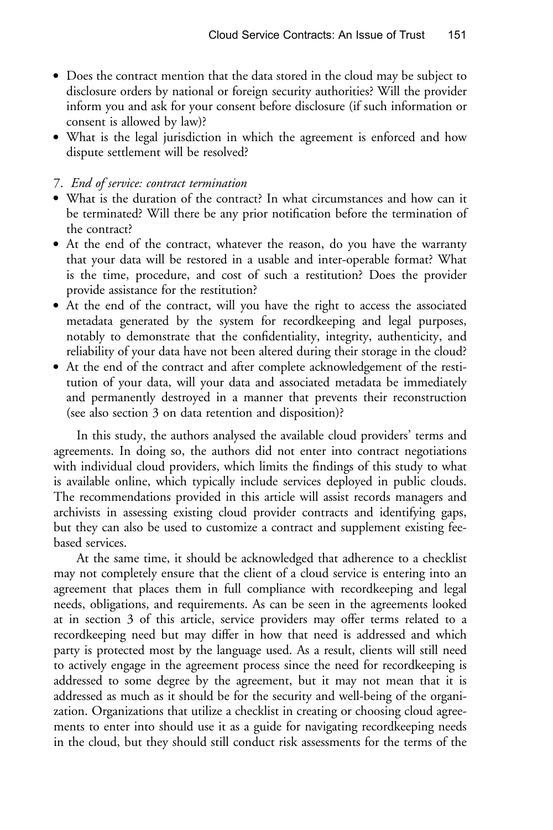- Does the contract mention that the data stored in the cloud may be subject to disclosure orders by national or foreign security authorities? Will the provider inform you and ask for your consent before disclosure (if such information or consent is allowed by law)?
- What is the legal jurisdiction in which the agreement is enforced and how dispute settlement will be resolved?

# 7. End of service: contract termination

- What is the duration of the contract? In what circumstances and how can it be terminated? Will there be any prior notification before the termination of the contract?
- At the end of the contract, whatever the reason, do you have the warranty that your data will be restored in a usable and inter-operable format? What is the time, procedure, and cost of such a restitution? Does the provider provide assistance for the restitution?
- At the end of the contract, will you have the right to access the associated metadata generated by the system for recordkeeping and legal purposes, notably to demonstrate that the confidentiality, integrity, authenticity, and reliability of your data have not been altered during their storage in the cloud?
- At the end of the contract and after complete acknowledgement of the restitution of your data, will your data and associated metadata be immediately and permanently destroyed in a manner that prevents their reconstruction (see also section 3 on data retention and disposition)?

In this study, the authors analysed the available cloud providers' terms and agreements. In doing so, the authors did not enter into contract negotiations with individual cloud providers, which limits the findings of this study to what is available online, which typically include services deployed in public clouds. The recommendations provided in this article will assist records managers and archivists in assessing existing cloud provider contracts and identifying gaps, but they can also be used to customize a contract and supplement existing feebased services.

At the same time, it should be acknowledged that adherence to a checklist may not completely ensure that the client of a cloud service is entering into an agreement that places them in full compliance with recordkeeping and legal needs, obligations, and requirements. As can be seen in the agreements looked at in section 3 of this article, service providers may offer terms related to a recordkeeping need but may differ in how that need is addressed and which party is protected most by the language used. As a result, clients will still need to actively engage in the agreement process since the need for recordkeeping is addressed to some degree by the agreement, but it may not mean that it is addressed as much as it should be for the security and well-being of the organization. Organizations that utilize a checklist in creating or choosing cloud agreements to enter into should use it as a guide for navigating recordkeeping needs in the cloud, but they should still conduct risk assessments for the terms of the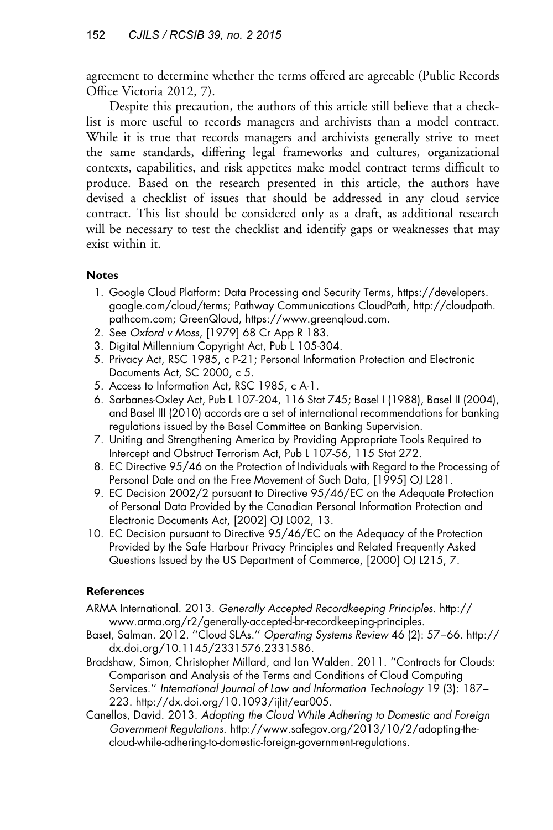<span id="page-25-0"></span>agreement to determine whether the terms offered are agreeable ([Public Records](#page-26-0) [Office Victoria 2012](#page-26-0), 7).

Despite this precaution, the authors of this article still believe that a checklist is more useful to records managers and archivists than a model contract. While it is true that records managers and archivists generally strive to meet the same standards, differing legal frameworks and cultures, organizational contexts, capabilities, and risk appetites make model contract terms difficult to produce. Based on the research presented in this article, the authors have devised a checklist of issues that should be addressed in any cloud service contract. This list should be considered only as a draft, as additional research will be necessary to test the checklist and identify gaps or weaknesses that may exist within it.

# **Notes**

- 1. Google Cloud Platform: Data Processing and Security Terms, [https://developers.](https://developers.google.com/cloud/terms) [google.com/cloud/terms;](https://developers.google.com/cloud/terms) Pathway Communications CloudPath, [http://cloudpath.](http://cloudpath.pathcom.com) [pathcom.com;](http://cloudpath.pathcom.com) GreenQloud,<https://www.greenqloud.com>.
- 2. See Oxford v Moss, [1979] 68 Cr App R 183.
- 3. Digital Millennium Copyright Act, Pub L 105-304.
- 5. Privacy Act, RSC 1985, c P-21; Personal Information Protection and Electronic Documents Act, SC 2000, c 5.
- 5. Access to Information Act, RSC 1985, c A-1.
- 6. Sarbanes-Oxley Act, Pub L 107-204, 116 Stat 745; Basel I (1988), Basel II (2004), and Basel III (2010) accords are a set of international recommendations for banking regulations issued by the Basel Committee on Banking Supervision.
- 7. Uniting and Strengthening America by Providing Appropriate Tools Required to Intercept and Obstruct Terrorism Act, Pub L 107-56, 115 Stat 272.
- 8. EC Directive 95/46 on the Protection of Individuals with Regard to the Processing of Personal Date and on the Free Movement of Such Data, [1995] OJ L281.
- 9. EC Decision 2002/2 pursuant to Directive 95/46/EC on the Adequate Protection of Personal Data Provided by the Canadian Personal Information Protection and Electronic Documents Act, [2002] OJ L002, 13.
- 10. EC Decision pursuant to Directive 95/46/EC on the Adequacy of the Protection Provided by the Safe Harbour Privacy Principles and Related Frequently Asked Questions Issued by the US Department of Commerce, [2000] OJ L215, 7.

# **References**

- ARMA International. 2013. Generally Accepted Recordkeeping Principles. [http://](http://www.arma.org/r2/generally-accepted-br-recordkeeping-principles) [www.arma.org/r2/generally-accepted-br-recordkeeping-principles.](http://www.arma.org/r2/generally-accepted-br-recordkeeping-principles)
- Baset, Salman. 2012. ''Cloud SLAs.'' Operating Systems Review 46 (2): 57–66. [http://](http://dx.doi.org/10.1145/2331576.2331586) [dx.doi.org/10.1145/2331576.2331586.](http://dx.doi.org/10.1145/2331576.2331586)
- Bradshaw, Simon, Christopher Millard, and Ian Walden. 2011. ''Contracts for Clouds: Comparison and Analysis of the Terms and Conditions of Cloud Computing Services.'' International Journal of Law and Information Technology 19 (3): 187– 223.<http://dx.doi.org/10.1093/ijlit/ear005>.
- Canellos, David. 2013. Adopting the Cloud While Adhering to Domestic and Foreign Government Regulations. [http://www.safegov.org/2013/10/2/adopting-the](http://www.safegov.org/2013/10/2/adopting-the-cloud-while-adhering-to-domestic-foreign-government-regulations)[cloud-while-adhering-to-domestic-foreign-government-regulations.](http://www.safegov.org/2013/10/2/adopting-the-cloud-while-adhering-to-domestic-foreign-government-regulations)